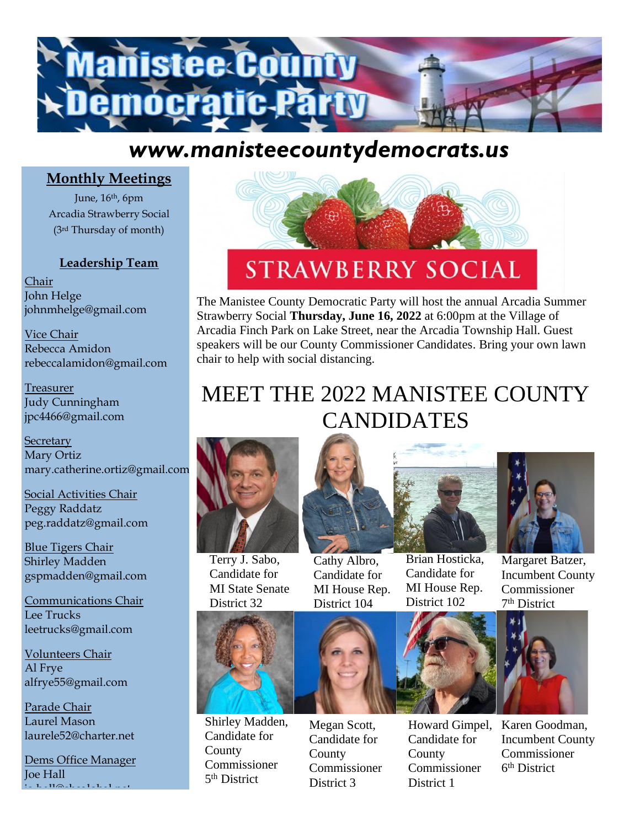

## *www.manisteecountydemocrats.us*

### **Monthly Meetings**

June, 16th, 6pm Arcadia Strawberry Social (3rd Thursday of month)

#### **Leadership Team**

Chair John Helge johnmhelge@gmail.com

Vice Chair Rebecca Amidon rebeccalamidon@gmail.com

Treasurer Judy Cunningham jpc4466@gmail.com

**Secretary** Mary Ortiz mary.catherine.ortiz@gmail.com

Social Activities Chair Peggy Raddatz peg.raddatz@gmail.com

Blue Tigers Chair Shirley Madden gspmadden@gmail.com

Communications Chair Lee Trucks leetrucks@gmail.com

Volunteers Chair Al Frye alfrye55@gmail.com

Parade Chair Laurel Mason laurele52@charter.net

Dems Office Manager Joe Hall  $\cdot$  in the final final field  $\cdot$ 



# **STRAWBERRY SOCIAL**

The Manistee County Democratic Party will host the annual Arcadia Summer Strawberry Social **Thursday, June 16, 2022** at 6:00pm at the Village of Arcadia Finch Park on Lake Street, near the Arcadia Township Hall. Guest speakers will be our County Commissioner Candidates. Bring your own lawn chair to help with social distancing.

# MEET THE 2022 MANISTEE COUNTY CANDIDATES



Terry J. Sabo, Candidate for MI State Senate District 32

Cathy Albro, Candidate for MI House Rep. District 104





Margaret Batzer, Incumbent County Commissioner 7 th District



Shirley Madden, Candidate for County Commissioner 5<sup>th</sup> District

Megan Scott, Candidate for County Commissioner District 3



Brian Hosticka, Candidate for MI House Rep. District 102

Howard Gimpel, Candidate for County Commissioner District 1



Karen Goodman, Incumbent County Commissioner 6 th District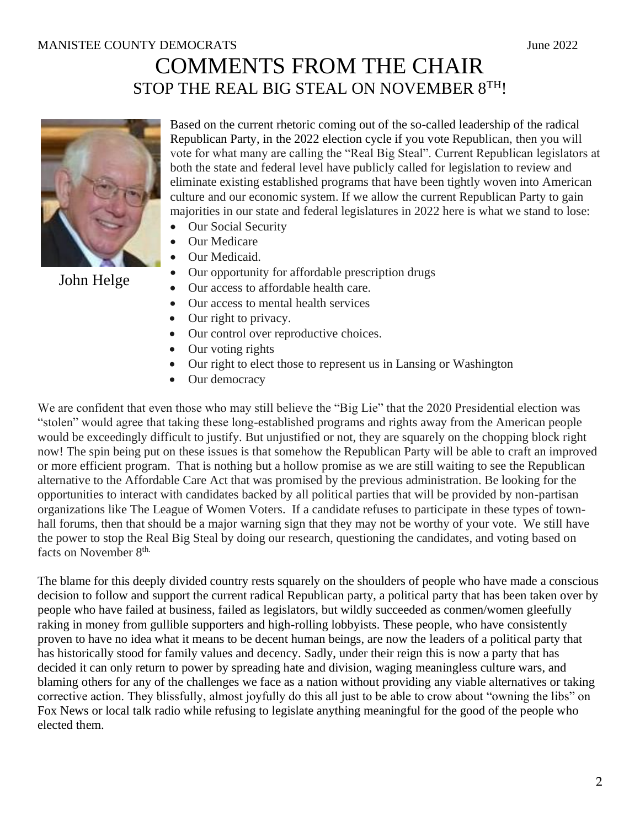## COMMENTS FROM THE CHAIR STOP THE REAL BIG STEAL ON NOVEMBER 8TH!



Based on the current rhetoric coming out of the so-called leadership of the radical Republican Party, in the 2022 election cycle if you vote Republican, then you will vote for what many are calling the "Real Big Steal". Current Republican legislators at both the state and federal level have publicly called for legislation to review and eliminate existing established programs that have been tightly woven into American culture and our economic system. If we allow the current Republican Party to gain majorities in our state and federal legislatures in 2022 here is what we stand to lose:

- Our Social Security
- Our Medicare
- Our Medicaid.

John Helge

- Our opportunity for affordable prescription drugs
- Our access to affordable health care.
- Our access to mental health services
- Our right to privacy.
- Our control over reproductive choices.
- Our voting rights
- Our right to elect those to represent us in Lansing or Washington
- Our democracy

We are confident that even those who may still believe the "Big Lie" that the 2020 Presidential election was "stolen" would agree that taking these long-established programs and rights away from the American people would be exceedingly difficult to justify. But unjustified or not, they are squarely on the chopping block right now! The spin being put on these issues is that somehow the Republican Party will be able to craft an improved or more efficient program. That is nothing but a hollow promise as we are still waiting to see the Republican alternative to the Affordable Care Act that was promised by the previous administration. Be looking for the opportunities to interact with candidates backed by all political parties that will be provided by non-partisan organizations like The League of Women Voters. If a candidate refuses to participate in these types of townhall forums, then that should be a major warning sign that they may not be worthy of your vote. We still have the power to stop the Real Big Steal by doing our research, questioning the candidates, and voting based on facts on November 8<sup>th.</sup>

The blame for this deeply divided country rests squarely on the shoulders of people who have made a conscious decision to follow and support the current radical Republican party, a political party that has been taken over by people who have failed at business, failed as legislators, but wildly succeeded as conmen/women gleefully raking in money from gullible supporters and high-rolling lobbyists. These people, who have consistently proven to have no idea what it means to be decent human beings, are now the leaders of a political party that has historically stood for family values and decency. Sadly, under their reign this is now a party that has decided it can only return to power by spreading hate and division, waging meaningless culture wars, and blaming others for any of the challenges we face as a nation without providing any viable alternatives or taking corrective action. They blissfully, almost joyfully do this all just to be able to crow about "owning the libs" on Fox News or local talk radio while refusing to legislate anything meaningful for the good of the people who elected them.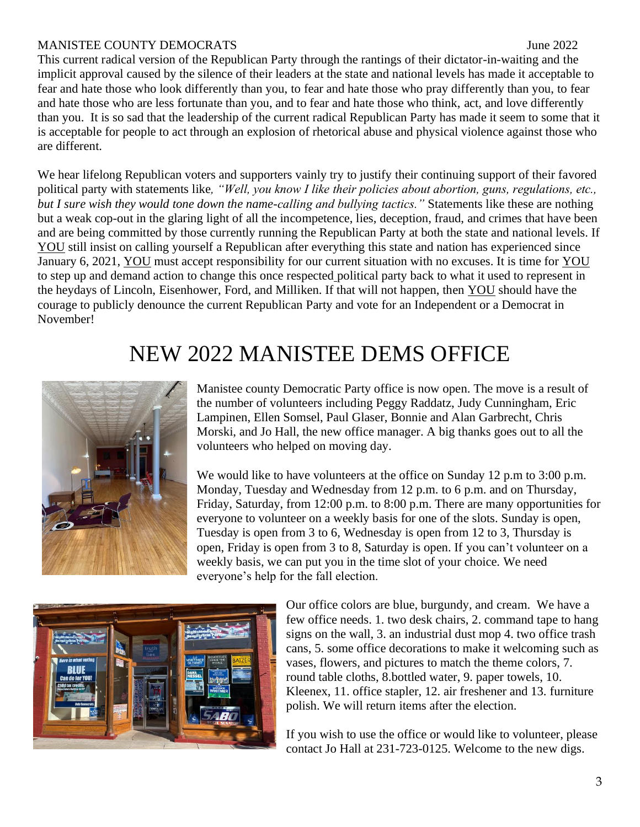#### MANISTEE COUNTY DEMOCRATS June 2022

This current radical version of the Republican Party through the rantings of their dictator-in-waiting and the implicit approval caused by the silence of their leaders at the state and national levels has made it acceptable to fear and hate those who look differently than you, to fear and hate those who pray differently than you, to fear and hate those who are less fortunate than you, and to fear and hate those who think, act, and love differently than you. It is so sad that the leadership of the current radical Republican Party has made it seem to some that it is acceptable for people to act through an explosion of rhetorical abuse and physical violence against those who are different.

We hear lifelong Republican voters and supporters vainly try to justify their continuing support of their favored political party with statements like*, "Well, you know I like their policies about abortion, guns, regulations, etc., but I sure wish they would tone down the name-calling and bullying tactics."* Statements like these are nothing but a weak cop-out in the glaring light of all the incompetence, lies, deception, fraud, and crimes that have been and are being committed by those currently running the Republican Party at both the state and national levels. If YOU still insist on calling yourself a Republican after everything this state and nation has experienced since January 6, 2021, YOU must accept responsibility for our current situation with no excuses. It is time for YOU to step up and demand action to change this once respected political party back to what it used to represent in the heydays of Lincoln, Eisenhower, Ford, and Milliken. If that will not happen, then YOU should have the courage to publicly denounce the current Republican Party and vote for an Independent or a Democrat in November!

## NEW 2022 MANISTEE DEMS OFFICE



Manistee county Democratic Party office is now open. The move is a result of the number of volunteers including Peggy Raddatz, Judy Cunningham, Eric Lampinen, Ellen Somsel, Paul Glaser, Bonnie and Alan Garbrecht, Chris Morski, and Jo Hall, the new office manager. A big thanks goes out to all the volunteers who helped on moving day.

We would like to have volunteers at the office on Sunday 12 p.m to 3:00 p.m. Monday, Tuesday and Wednesday from 12 p.m. to 6 p.m. and on Thursday, Friday, Saturday, from 12:00 p.m. to 8:00 p.m. There are many opportunities for everyone to volunteer on a weekly basis for one of the slots. Sunday is open, Tuesday is open from 3 to 6, Wednesday is open from 12 to 3, Thursday is open, Friday is open from 3 to 8, Saturday is open. If you can't volunteer on a weekly basis, we can put you in the time slot of your choice. We need everyone's help for the fall election.



Our office colors are blue, burgundy, and cream. We have a few office needs. 1. two desk chairs, 2. command tape to hang signs on the wall, 3. an industrial dust mop 4. two office trash cans, 5. some office decorations to make it welcoming such as vases, flowers, and pictures to match the theme colors, 7. round table cloths, 8.bottled water, 9. paper towels, 10. Kleenex, 11. office stapler, 12. air freshener and 13. furniture polish. We will return items after the election.

If you wish to use the office or would like to volunteer, please contact Jo Hall at 231-723-0125. Welcome to the new digs.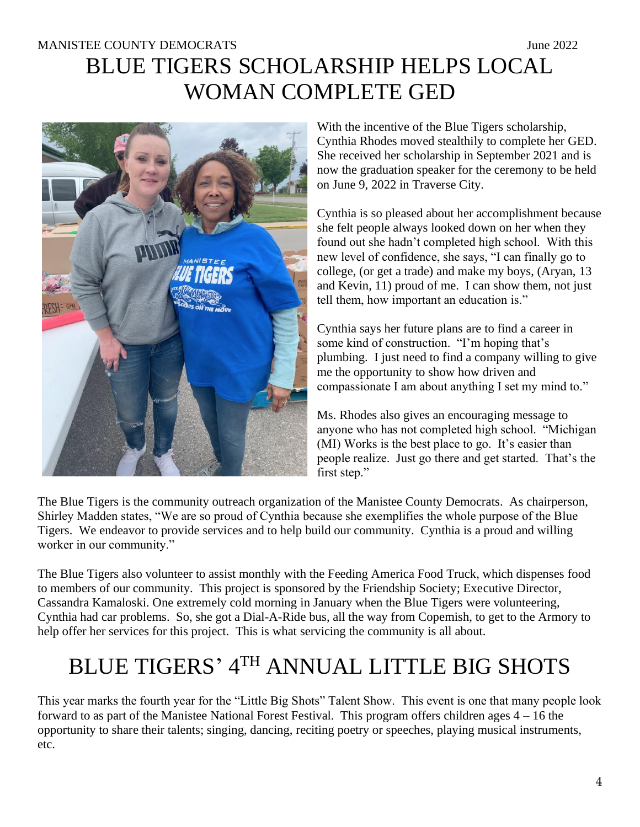## MANISTEE COUNTY DEMOCRATS June 2022 BLUE TIGERS SCHOLARSHIP HELPS LOCAL WOMAN COMPLETE GED



With the incentive of the Blue Tigers scholarship, Cynthia Rhodes moved stealthily to complete her GED. She received her scholarship in September 2021 and is now the graduation speaker for the ceremony to be held on June 9, 2022 in Traverse City.

Cynthia is so pleased about her accomplishment because she felt people always looked down on her when they found out she hadn't completed high school. With this new level of confidence, she says, "I can finally go to college, (or get a trade) and make my boys, (Aryan, 13 and Kevin, 11) proud of me. I can show them, not just tell them, how important an education is."

Cynthia says her future plans are to find a career in some kind of construction. "I'm hoping that's plumbing. I just need to find a company willing to give me the opportunity to show how driven and compassionate I am about anything I set my mind to."

Ms. Rhodes also gives an encouraging message to anyone who has not completed high school. "Michigan (MI) Works is the best place to go. It's easier than people realize. Just go there and get started. That's the first step."

The Blue Tigers is the community outreach organization of the Manistee County Democrats. As chairperson, Shirley Madden states, "We are so proud of Cynthia because she exemplifies the whole purpose of the Blue Tigers. We endeavor to provide services and to help build our community. Cynthia is a proud and willing worker in our community."

The Blue Tigers also volunteer to assist monthly with the Feeding America Food Truck, which dispenses food to members of our community. This project is sponsored by the Friendship Society; Executive Director, Cassandra Kamaloski. One extremely cold morning in January when the Blue Tigers were volunteering, Cynthia had car problems. So, she got a Dial-A-Ride bus, all the way from Copemish, to get to the Armory to help offer her services for this project. This is what servicing the community is all about.

# BLUE TIGERS' 4TH ANNUAL LITTLE BIG SHOTS

This year marks the fourth year for the "Little Big Shots" Talent Show. This event is one that many people look forward to as part of the Manistee National Forest Festival. This program offers children ages  $4 - 16$  the opportunity to share their talents; singing, dancing, reciting poetry or speeches, playing musical instruments, etc.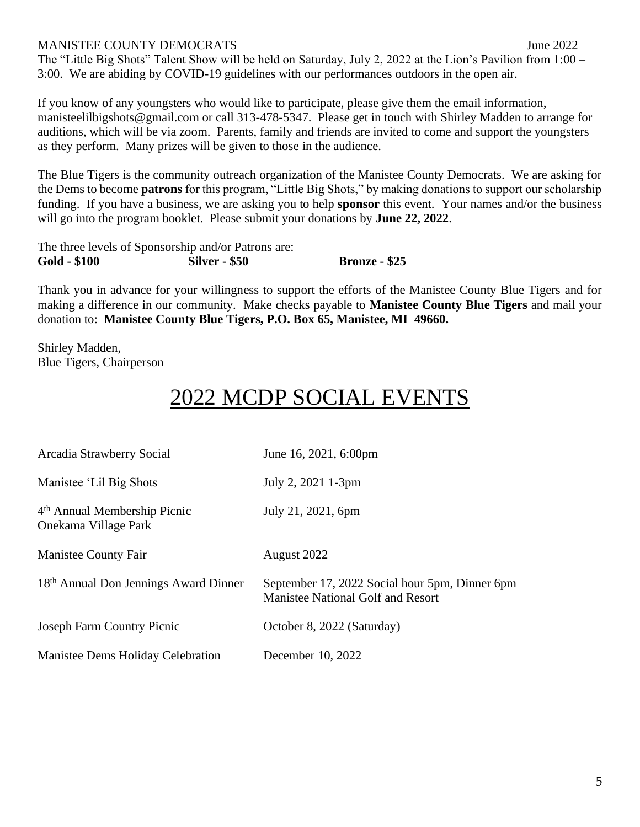#### MANISTEE COUNTY DEMOCRATS June 2022

The "Little Big Shots" Talent Show will be held on Saturday, July 2, 2022 at the Lion's Pavilion from 1:00 – 3:00. We are abiding by COVID-19 guidelines with our performances outdoors in the open air.

If you know of any youngsters who would like to participate, please give them the email information, manisteelilbigshots@gmail.com or call 313-478-5347. Please get in touch with Shirley Madden to arrange for auditions, which will be via zoom. Parents, family and friends are invited to come and support the youngsters as they perform. Many prizes will be given to those in the audience.

The Blue Tigers is the community outreach organization of the Manistee County Democrats. We are asking for the Dems to become **patrons** for this program, "Little Big Shots," by making donations to support our scholarship funding. If you have a business, we are asking you to help **sponsor** this event. Your names and/or the business will go into the program booklet. Please submit your donations by **June 22, 2022**.

The three levels of Sponsorship and/or Patrons are: **Gold - \$100 Silver - \$50 Bronze - \$25**

Thank you in advance for your willingness to support the efforts of the Manistee County Blue Tigers and for making a difference in our community. Make checks payable to **Manistee County Blue Tigers** and mail your donation to: **Manistee County Blue Tigers, P.O. Box 65, Manistee, MI 49660.**

Shirley Madden, Blue Tigers, Chairperson

## 2022 MCDP SOCIAL EVEN

| Arcadia Strawberry Social                                        | June 16, 2021, 6:00pm                                                               |
|------------------------------------------------------------------|-------------------------------------------------------------------------------------|
| Manistee 'Lil Big Shots                                          | July 2, 2021 1-3pm                                                                  |
| 4 <sup>th</sup> Annual Membership Picnic<br>Onekama Village Park | July 21, 2021, 6pm                                                                  |
| Manistee County Fair                                             | August 2022                                                                         |
| 18th Annual Don Jennings Award Dinner                            | September 17, 2022 Social hour 5pm, Dinner 6pm<br>Manistee National Golf and Resort |
| <b>Joseph Farm Country Picnic</b>                                | October 8, 2022 (Saturday)                                                          |
| Manistee Dems Holiday Celebration                                | December 10, 2022                                                                   |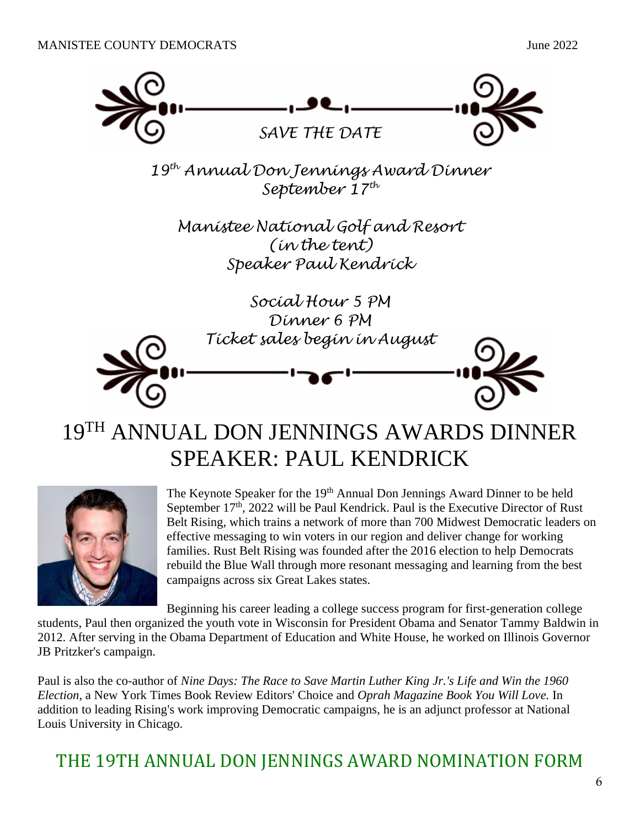

## 19TH ANNUAL DON JENNINGS AWARDS DINNER SPEAKER: PAUL KENDRICK



The Keynote Speaker for the 19<sup>th</sup> Annual Don Jennings Award Dinner to be held September 17<sup>th</sup>, 2022 will be Paul Kendrick. Paul is the Executive Director of Rust Belt Rising, which trains a network of more than 700 Midwest Democratic leaders on effective messaging to win voters in our region and deliver change for working families. Rust Belt Rising was founded after the 2016 election to help Democrats rebuild the Blue Wall through more resonant messaging and learning from the best campaigns across six Great Lakes states.

Beginning his career leading a college success program for first-generation college

students, Paul then organized the youth vote in Wisconsin for President Obama and Senator Tammy Baldwin in 2012. After serving in the Obama Department of Education and White House, he worked on Illinois Governor JB Pritzker's campaign.

Paul is also the co-author of *Nine Days: The Race to Save Martin Luther King Jr.'s Life and Win the 1960 Election*, a New York Times Book Review Editors' Choice and *Oprah Magazine Book You Will Love.* In addition to leading Rising's work improving Democratic campaigns, he is an adjunct professor at National Louis University in Chicago.

## THE 19TH ANNUAL DON JENNINGS AWARD NOMINATION FORM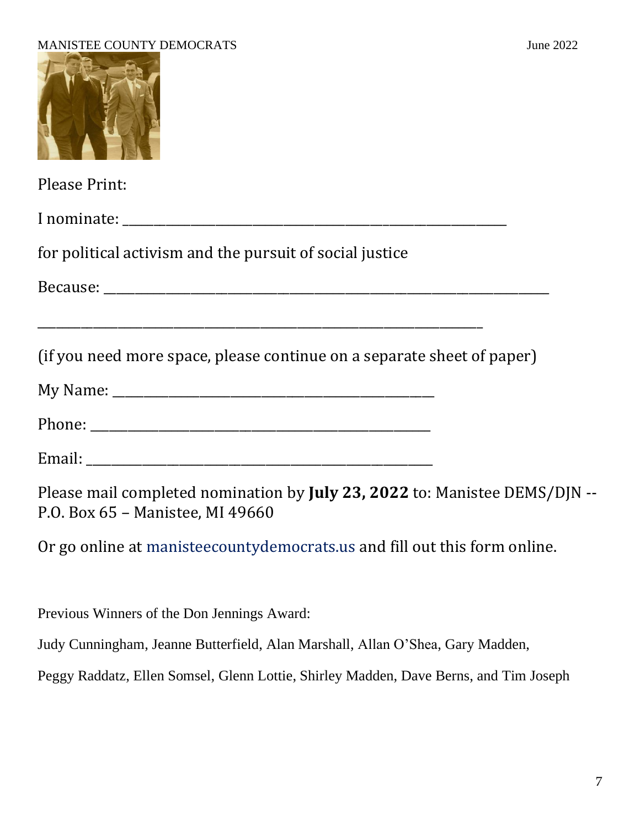

Please Print:

I nominate: \_\_\_\_\_\_\_\_\_\_\_\_\_\_\_\_\_\_\_\_\_\_\_\_\_\_\_\_\_\_\_\_\_\_\_\_\_\_\_\_\_\_\_\_\_\_\_\_\_\_\_\_\_\_\_\_\_\_\_\_\_\_

for political activism and the pursuit of social justice

Because: \_\_\_\_\_\_\_\_\_\_\_\_\_\_\_\_\_\_\_\_\_\_\_\_\_\_\_\_\_\_\_\_\_\_\_\_\_\_\_\_\_\_\_\_\_\_\_\_\_\_\_\_\_\_\_\_\_\_\_\_\_\_\_\_\_\_\_\_\_\_\_\_

(if you need more space, please continue on a separate sheet of paper)

| My Name: |  |
|----------|--|
|          |  |

Phone: \_\_\_\_\_\_\_\_\_\_\_\_\_\_\_\_\_\_\_\_\_\_\_\_\_\_\_\_\_\_\_\_\_\_\_\_\_\_\_\_\_\_\_\_\_\_\_\_\_\_\_\_\_\_\_

Email: \_\_\_\_\_\_\_\_\_\_\_\_\_\_\_\_\_\_\_\_\_\_\_\_\_\_\_\_\_\_\_\_\_\_\_\_\_\_\_\_\_\_\_\_\_\_\_\_\_\_\_\_\_\_\_\_

Please mail completed nomination by **July 23, 2022** to: Manistee DEMS/DJN -- P.O. Box 65 – Manistee, MI 49660

Or go online at manisteecountydemocrats.us and fill out this form online.

Previous Winners of the Don Jennings Award:

Judy Cunningham, Jeanne Butterfield, Alan Marshall, Allan O'Shea, Gary Madden,

Peggy Raddatz, Ellen Somsel, Glenn Lottie, Shirley Madden, Dave Berns, and Tim Joseph